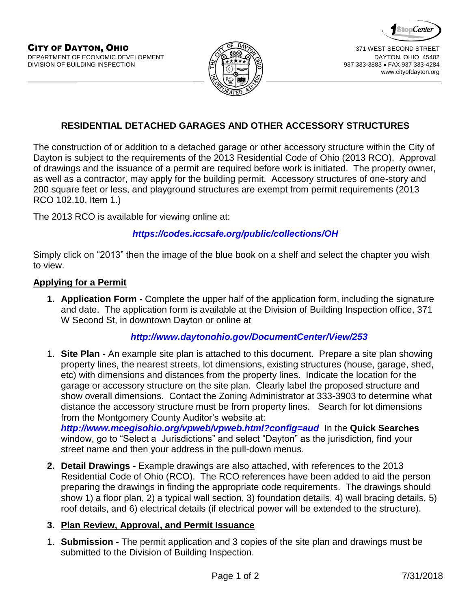



www.cityofdayton.org

## **RESIDENTIAL DETACHED GARAGES AND OTHER ACCESSORY STRUCTURES**

The construction of or addition to a detached garage or other accessory structure within the City of Dayton is subject to the requirements of the 2013 Residential Code of Ohio (2013 RCO). Approval of drawings and the issuance of a permit are required before work is initiated. The property owner, as well as a contractor, may apply for the building permit. Accessory structures of one-story and 200 square feet or less, and playground structures are exempt from permit requirements (2013 RCO 102.10, Item 1.)

The 2013 RCO is available for viewing online at:

## *<https://codes.iccsafe.org/public/collections/OH>*

Simply click on "2013" then the image of the blue book on a shelf and select the chapter you wish to view.

#### **Applying for a Permit**

**1. Application Form -** Complete the upper half of the application form, including the signature and date. The application form is available at the Division of Building Inspection office, 371 W Second St, in downtown Dayton or online at

## *<http://www.daytonohio.gov/DocumentCenter/View/253>*

1. **Site Plan -** An example site plan is attached to this document. Prepare a site plan showing property lines, the nearest streets, lot dimensions, existing structures (house, garage, shed, etc) with dimensions and distances from the property lines. Indicate the location for the garage or accessory structure on the site plan. Clearly label the proposed structure and show overall dimensions. Contact the Zoning Administrator at 333-3903 to determine what distance the accessory structure must be from property lines. Search for lot dimensions from the Montgomery County Auditor's website at:

*<http://www.mcegisohio.org/vpweb/vpweb.html?config=aud>* In the **Quick Searches**  window, go to "Select a Jurisdictions" and select "Dayton" as the jurisdiction, find your street name and then your address in the pull-down menus.

**2. Detail Drawings -** Example drawings are also attached, with references to the 2013 Residential Code of Ohio (RCO). The RCO references have been added to aid the person preparing the drawings in finding the appropriate code requirements. The drawings should show 1) a floor plan, 2) a typical wall section, 3) foundation details, 4) wall bracing details, 5) roof details, and 6) electrical details (if electrical power will be extended to the structure).

## **3. Plan Review, Approval, and Permit Issuance**

1. **Submission -** The permit application and 3 copies of the site plan and drawings must be submitted to the Division of Building Inspection.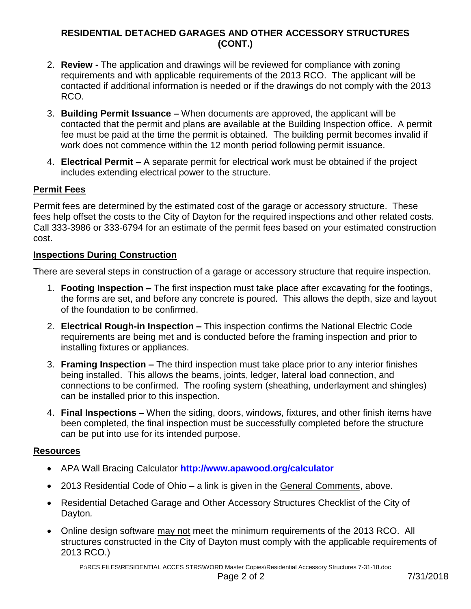## **RESIDENTIAL DETACHED GARAGES AND OTHER ACCESSORY STRUCTURES (CONT.)**

- 2. **Review -** The application and drawings will be reviewed for compliance with zoning requirements and with applicable requirements of the 2013 RCO. The applicant will be contacted if additional information is needed or if the drawings do not comply with the 2013 RCO.
- 3. **Building Permit Issuance –** When documents are approved, the applicant will be contacted that the permit and plans are available at the Building Inspection office. A permit fee must be paid at the time the permit is obtained. The building permit becomes invalid if work does not commence within the 12 month period following permit issuance.
- 4. **Electrical Permit –** A separate permit for electrical work must be obtained if the project includes extending electrical power to the structure.

## **Permit Fees**

Permit fees are determined by the estimated cost of the garage or accessory structure. These fees help offset the costs to the City of Dayton for the required inspections and other related costs. Call 333-3986 or 333-6794 for an estimate of the permit fees based on your estimated construction cost.

## **Inspections During Construction**

There are several steps in construction of a garage or accessory structure that require inspection.

- 1. **Footing Inspection –** The first inspection must take place after excavating for the footings, the forms are set, and before any concrete is poured. This allows the depth, size and layout of the foundation to be confirmed.
- 2. **Electrical Rough-in Inspection –** This inspection confirms the National Electric Code requirements are being met and is conducted before the framing inspection and prior to installing fixtures or appliances.
- 3. **Framing Inspection –** The third inspection must take place prior to any interior finishes being installed. This allows the beams, joints, ledger, lateral load connection, and connections to be confirmed. The roofing system (sheathing, underlayment and shingles) can be installed prior to this inspection.
- 4. **Final Inspections –** When the siding, doors, windows, fixtures, and other finish items have been completed, the final inspection must be successfully completed before the structure can be put into use for its intended purpose.

## **Resources**

- APA Wall Bracing Calculator **<http://www.apawood.org/calculator>**
- 2013 Residential Code of Ohio a link is given in the General Comments, above.
- Residential Detached Garage and Other Accessory Structures Checklist of the City of Dayton*.*
- Online design software may not meet the minimum requirements of the 2013 RCO. All structures constructed in the City of Dayton must comply with the applicable requirements of 2013 RCO.)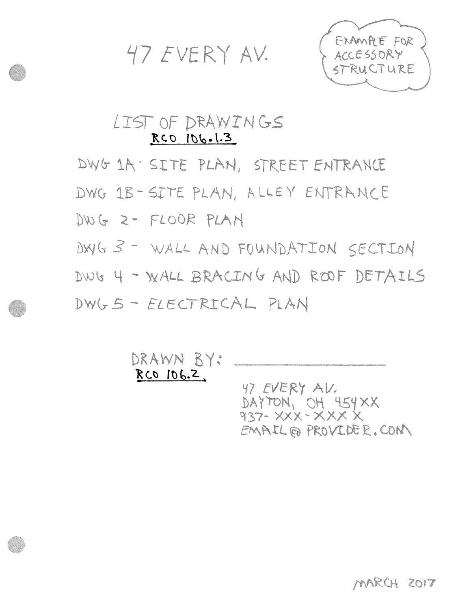47 EVERY AV.



# LIST OF DRAWINGS RCO 106.1.3

DWG 1A · SITE PLAN, STREET ENTRANCE

DWG 1B-SITE PLAN, ALLEY ENTRANCE

DWG 2- FLOOR PLAN

DWG 3 - WALL AND FOUNDATION SECTION

DWG 4 - WALL BRACING AND ROOF DETAILS

DWG 5 - ELECTRICAL PLAN

DRAWN BY: RCO 106.2 47 EVERY AV.

DAYTON, OH 454XX 937- XXX - XXX X EMAIL @ PROVIDER.CON

MARCH ZOIT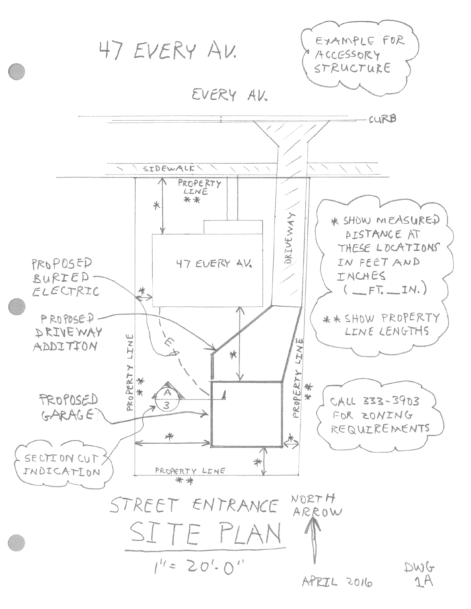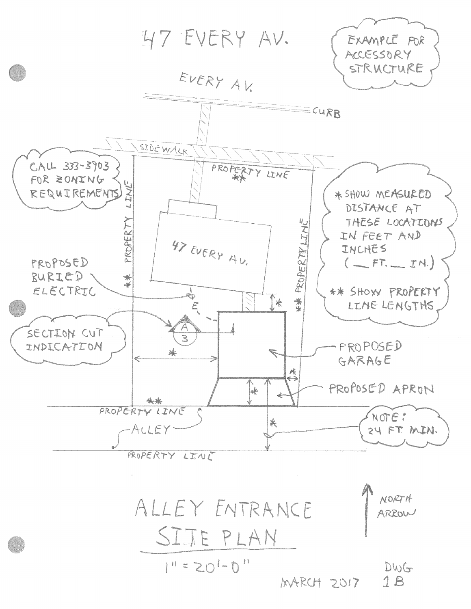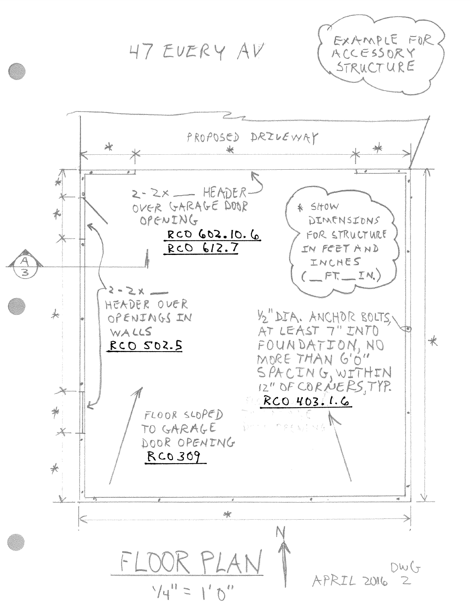47 EUERY AV



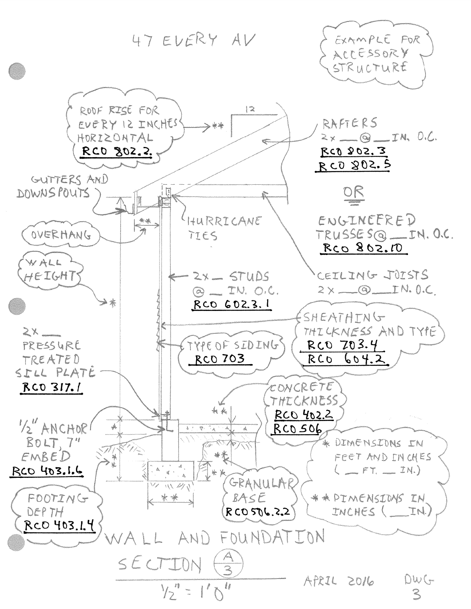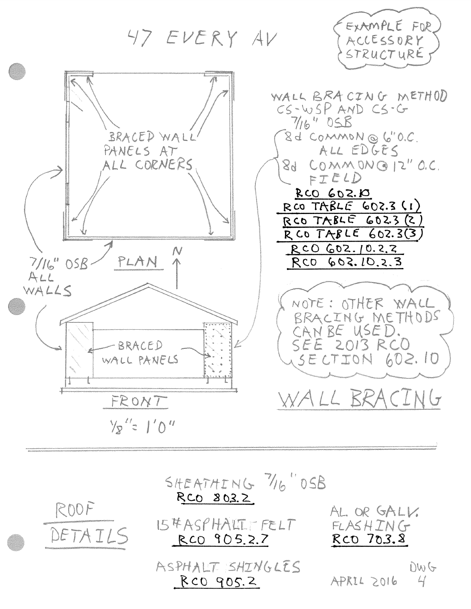